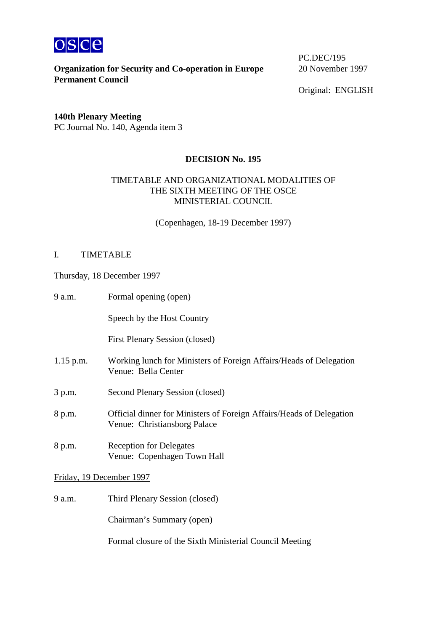

# **Organization for Security and Co-operation in Europe** 20 November 1997 **Permanent Council**

PC.DEC/195

Original: ENGLISH

**140th Plenary Meeting**  PC Journal No. 140, Agenda item 3

## **DECISION No. 195**

## TIMETABLE AND ORGANIZATIONAL MODALITIES OF THE SIXTH MEETING OF THE OSCE MINISTERIAL COUNCIL

(Copenhagen, 18-19 December 1997)

### I. TIMETABLE

#### Thursday, 18 December 1997

| 9 a.m.                   | Formal opening (open)                                                                                |
|--------------------------|------------------------------------------------------------------------------------------------------|
|                          | Speech by the Host Country                                                                           |
|                          | <b>First Plenary Session (closed)</b>                                                                |
| $1.15$ p.m.              | Working lunch for Ministers of Foreign Affairs/Heads of Delegation<br>Venue: Bella Center            |
| 3 p.m.                   | Second Plenary Session (closed)                                                                      |
| 8 p.m.                   | Official dinner for Ministers of Foreign Affairs/Heads of Delegation<br>Venue: Christiansborg Palace |
| 8 p.m.                   | <b>Reception for Delegates</b><br>Venue: Copenhagen Town Hall                                        |
| Friday, 19 December 1997 |                                                                                                      |
| 9 a.m.                   | Third Plenary Session (closed)                                                                       |

Formal closure of the Sixth Ministerial Council Meeting

Chairman's Summary (open)